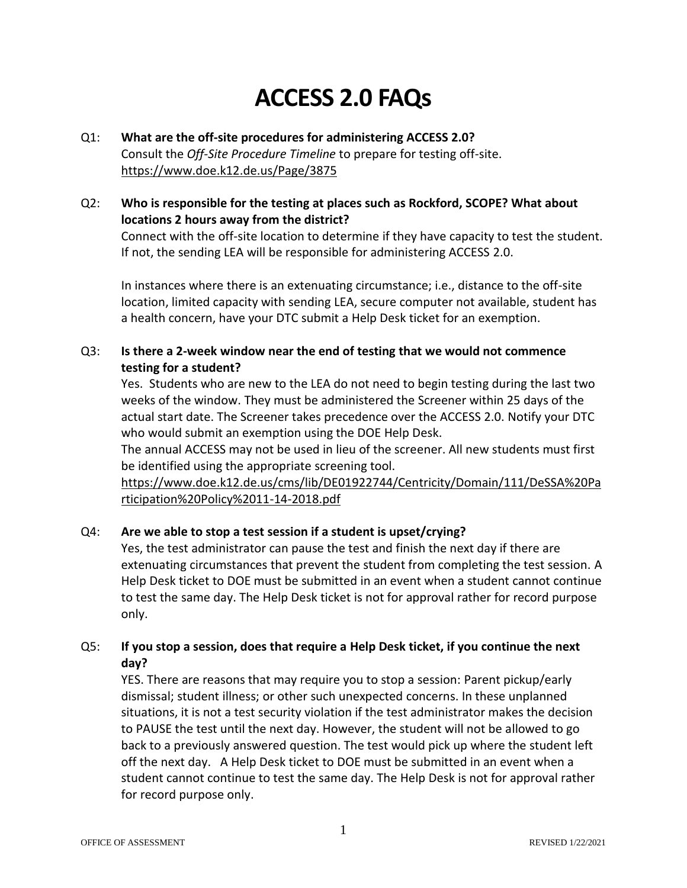# **ACCESS 2.0 FAQs**

#### Q1: **What are the off-site procedures for administering ACCESS 2.0?** Consult the *Off-Site Procedure Timeline* to prepare for testing off-site. <https://www.doe.k12.de.us/Page/3875>

# Q2: **Who is responsible for the testing at places such as Rockford, SCOPE? What about locations 2 hours away from the district?** Connect with the off-site location to determine if they have capacity to test the student.

If not, the sending LEA will be responsible for administering ACCESS 2.0. In instances where there is an extenuating circumstance; i.e., distance to the off-site

location, limited capacity with sending LEA, secure computer not available, student has a health concern, have your DTC submit a Help Desk ticket for an exemption.

#### Q3: **Is there a 2-week window near the end of testing that we would not commence testing for a student?**

Yes. Students who are new to the LEA do not need to begin testing during the last two weeks of the window. They must be administered the Screener within 25 days of the actual start date. The Screener takes precedence over the ACCESS 2.0. Notify your DTC who would submit an exemption using the DOE Help Desk.

The annual ACCESS may not be used in lieu of the screener. All new students must first be identified using the appropriate screening tool.

[https://www.doe.k12.de.us/cms/lib/DE01922744/Centricity/Domain/111/DeSSA%20Pa](https://www.doe.k12.de.us/cms/lib/DE01922744/Centricity/Domain/111/DeSSA%20Participation%20Policy%2011-14-2018.pdf) [rticipation%20Policy%2011-14-2018.pdf](https://www.doe.k12.de.us/cms/lib/DE01922744/Centricity/Domain/111/DeSSA%20Participation%20Policy%2011-14-2018.pdf)

# Q4: **Are we able to stop a test session if a student is upset/crying?**

Yes, the test administrator can pause the test and finish the next day if there are extenuating circumstances that prevent the student from completing the test session. A Help Desk ticket to DOE must be submitted in an event when a student cannot continue to test the same day. The Help Desk ticket is not for approval rather for record purpose only.

### Q5: **If you stop a session, does that require a Help Desk ticket, if you continue the next day?**

YES. There are reasons that may require you to stop a session: Parent pickup/early dismissal; student illness; or other such unexpected concerns. In these unplanned situations, it is not a test security violation if the test administrator makes the decision to PAUSE the test until the next day. However, the student will not be allowed to go back to a previously answered question. The test would pick up where the student left off the next day. A Help Desk ticket to DOE must be submitted in an event when a student cannot continue to test the same day. The Help Desk is not for approval rather for record purpose only.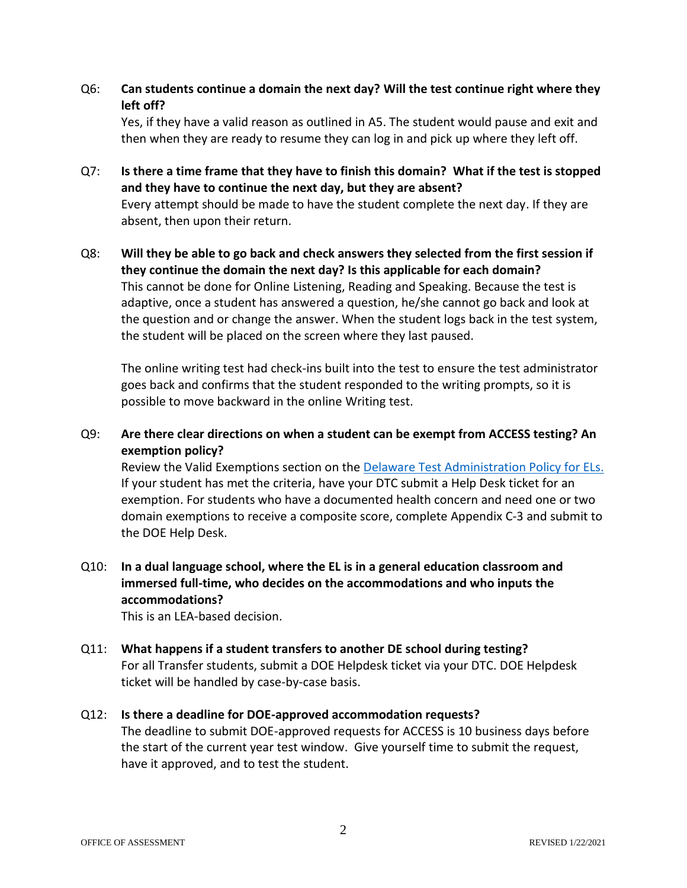Q6: **Can students continue a domain the next day? Will the test continue right where they left off?**

Yes, if they have a valid reason as outlined in A5. The student would pause and exit and then when they are ready to resume they can log in and pick up where they left off.

- Q7: **Is there a time frame that they have to finish this domain? What if the test is stopped and they have to continue the next day, but they are absent?** Every attempt should be made to have the student complete the next day. If they are absent, then upon their return.
- Q8: **Will they be able to go back and check answers they selected from the first session if they continue the domain the next day? Is this applicable for each domain?** This cannot be done for Online Listening, Reading and Speaking. Because the test is adaptive, once a student has answered a question, he/she cannot go back and look at the question and or change the answer. When the student logs back in the test system, the student will be placed on the screen where they last paused.

The online writing test had check-ins built into the test to ensure the test administrator goes back and confirms that the student responded to the writing prompts, so it is possible to move backward in the online Writing test.

Q9: **Are there clear directions on when a student can be exempt from ACCESS testing? An exemption policy?** 

Review the Valid Exemptions section on the [Delaware Test Administration Policy for ELs.](https://www.doe.k12.de.us/cms/lib/DE01922744/Centricity/Domain/111/EL%20Policy%207-20-2020.pdf) If your student has met the criteria, have your DTC submit a Help Desk ticket for an exemption. For students who have a documented health concern and need one or two domain exemptions to receive a composite score, complete Appendix C-3 and submit to the DOE Help Desk.

Q10: **In a dual language school, where the EL is in a general education classroom and immersed full-time, who decides on the accommodations and who inputs the accommodations?**

This is an LEA-based decision.

Q11: **What happens if a student transfers to another DE school during testing?** For all Transfer students, submit a DOE Helpdesk ticket via your DTC. DOE Helpdesk ticket will be handled by case-by-case basis.

#### Q12: **Is there a deadline for DOE-approved accommodation requests?**

The deadline to submit DOE-approved requests for ACCESS is 10 business days before the start of the current year test window. Give yourself time to submit the request, have it approved, and to test the student.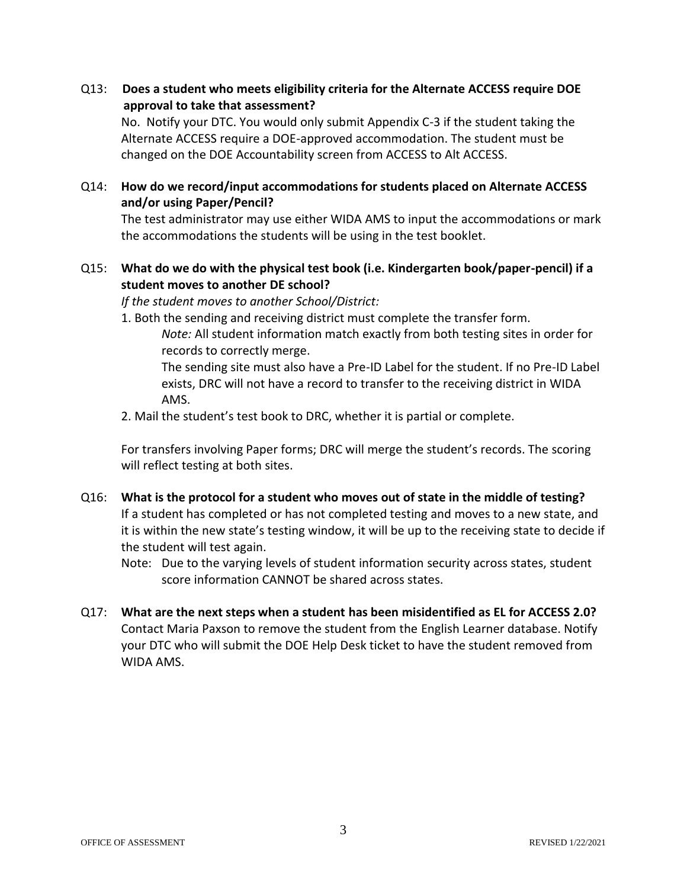Q13: **Does a student who meets eligibility criteria for the Alternate ACCESS require DOE approval to take that assessment?**

No. Notify your DTC. You would only submit Appendix C-3 if the student taking the Alternate ACCESS require a DOE-approved accommodation. The student must be changed on the DOE Accountability screen from ACCESS to Alt ACCESS.

#### Q14: **How do we record/input accommodations for students placed on Alternate ACCESS and/or using Paper/Pencil?**

The test administrator may use either WIDA AMS to input the accommodations or mark the accommodations the students will be using in the test booklet.

#### Q15: **What do we do with the physical test book (i.e. Kindergarten book/paper-pencil) if a student moves to another DE school?**

*If the student moves to another School/District:*

1. Both the sending and receiving district must complete the transfer form. *Note:* All student information match exactly from both testing sites in order for records to correctly merge.

The sending site must also have a Pre-ID Label for the student. If no Pre-ID Label exists, DRC will not have a record to transfer to the receiving district in WIDA AMS.

2. Mail the student's test book to DRC, whether it is partial or complete.

For transfers involving Paper forms; DRC will merge the student's records. The scoring will reflect testing at both sites.

- Q16: **What is the protocol for a student who moves out of state in the middle of testing?** If a student has completed or has not completed testing and moves to a new state, and it is within the new state's testing window, it will be up to the receiving state to decide if the student will test again.
	- Note: Due to the varying levels of student information security across states, student score information CANNOT be shared across states.
- Q17: **What are the next steps when a student has been misidentified as EL for ACCESS 2.0?**  Contact Maria Paxson to remove the student from the English Learner database. Notify your DTC who will submit the DOE Help Desk ticket to have the student removed from WIDA AMS.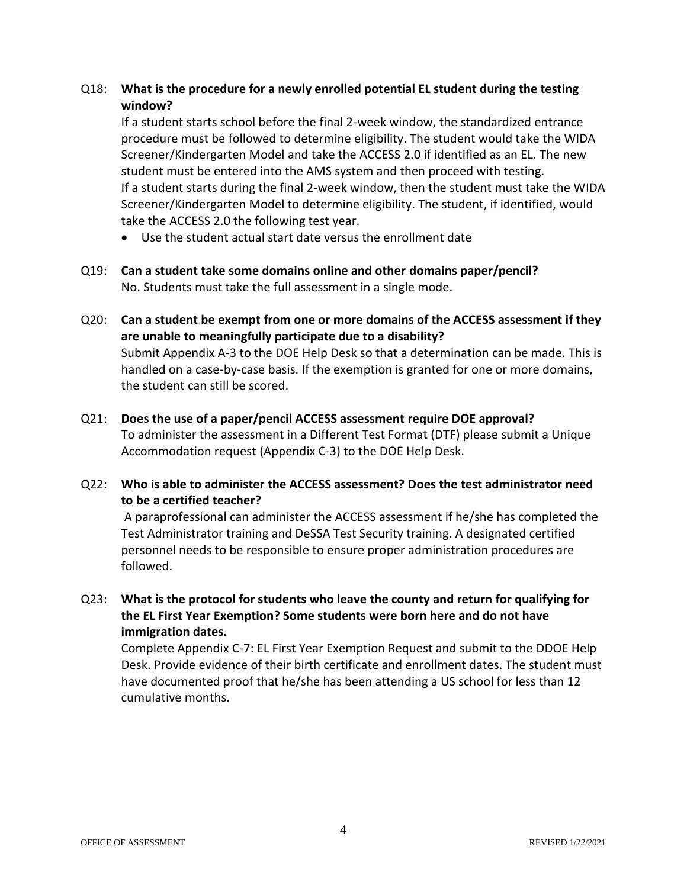#### Q18: **What is the procedure for a newly enrolled potential EL student during the testing window?**

If a student starts school before the final 2-week window, the standardized entrance procedure must be followed to determine eligibility. The student would take the WIDA Screener/Kindergarten Model and take the ACCESS 2.0 if identified as an EL. The new student must be entered into the AMS system and then proceed with testing. If a student starts during the final 2-week window, then the student must take the WIDA Screener/Kindergarten Model to determine eligibility. The student, if identified, would take the ACCESS 2.0 the following test year.

- Use the student actual start date versus the enrollment date
- Q19: **Can a student take some domains online and other domains paper/pencil?** No. Students must take the full assessment in a single mode.
- Q20: **Can a student be exempt from one or more domains of the ACCESS assessment if they are unable to meaningfully participate due to a disability?** Submit Appendix A-3 to the DOE Help Desk so that a determination can be made. This is handled on a case-by-case basis. If the exemption is granted for one or more domains, the student can still be scored.
- Q21: **Does the use of a paper/pencil ACCESS assessment require DOE approval?** To administer the assessment in a Different Test Format (DTF) please submit a Unique Accommodation request (Appendix C-3) to the DOE Help Desk.

#### Q22: **Who is able to administer the ACCESS assessment? Does the test administrator need to be a certified teacher?**

A paraprofessional can administer the ACCESS assessment if he/she has completed the Test Administrator training and DeSSA Test Security training. A designated certified personnel needs to be responsible to ensure proper administration procedures are followed.

Q23: **What is the protocol for students who leave the county and return for qualifying for the EL First Year Exemption? Some students were born here and do not have immigration dates.**

Complete Appendix C-7: EL First Year Exemption Request and submit to the DDOE Help Desk. Provide evidence of their birth certificate and enrollment dates. The student must have documented proof that he/she has been attending a US school for less than 12 cumulative months.